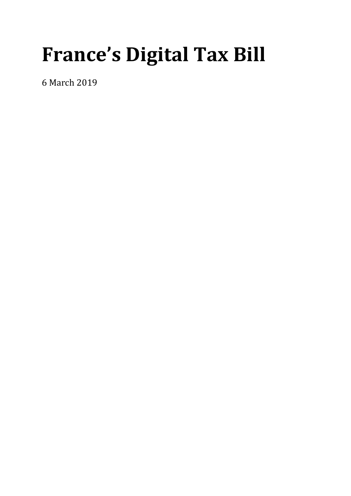# **France's Digital Tax Bill**

6 March 2019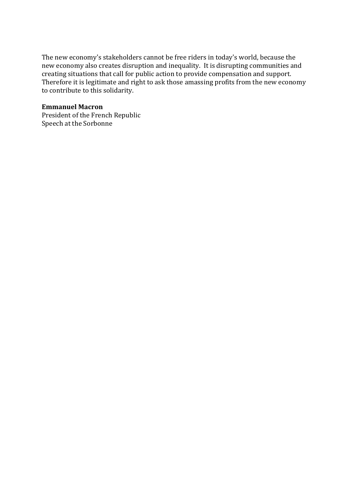The new economy's stakeholders cannot be free riders in today's world, because the new economy also creates disruption and inequality. It is disrupting communities and creating situations that call for public action to provide compensation and support. Therefore it is legitimate and right to ask those amassing profits from the new economy to contribute to this solidarity.

#### **Emmanuel Macron**

President of the French Republic Speech at the Sorbonne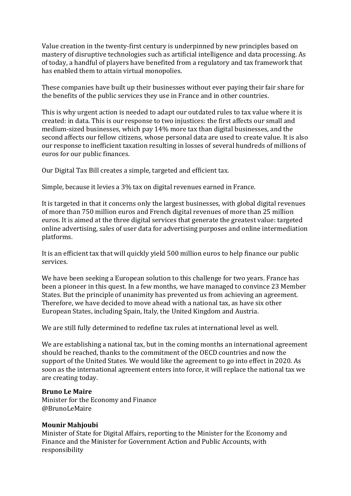Value creation in the twenty-first century is underpinned by new principles based on mastery of disruptive technologies such as artificial intelligence and data processing. As of today, a handful of players have benefited from a regulatory and tax framework that has enabled them to attain virtual monopolies.

These companies have built up their businesses without ever paying their fair share for the benefits of the public services they use in France and in other countries.

This is why urgent action is needed to adapt our outdated rules to tax value where it is created: in data. This is our response to two injustices: the first affects our small and medium-sized businesses, which pay 14% more tax than digital businesses, and the second affects our fellow citizens, whose personal data are used to create value. It is also our response to inefficient taxation resulting in losses of several hundreds of millions of euros for our public finances.

Our Digital Tax Bill creates a simple, targeted and efficient tax.

Simple, because it levies a 3% tax on digital revenues earned in France.

It is targeted in that it concerns only the largest businesses, with global digital revenues of more than 750 million euros and French digital revenues of more than 25 million euros. It is aimed at the three digital services that generate the greatest value: targeted online advertising, sales of user data for advertising purposes and online intermediation platforms.

It is an efficient tax that will quickly yield 500 million euros to help finance our public services.

We have been seeking a European solution to this challenge for two years. France has been a pioneer in this quest. In a few months, we have managed to convince 23 Member States. But the principle of unanimity has prevented us from achieving an agreement. Therefore, we have decided to move ahead with a national tax, as have six other European States, including Spain, Italy, the United Kingdom and Austria.

We are still fully determined to redefine tax rules at international level as well.

We are establishing a national tax, but in the coming months an international agreement should be reached, thanks to the commitment of the OECD countries and now the support of the United States. We would like the agreement to go into effect in 2020. As soon as the international agreement enters into force, it will replace the national tax we are creating today.

#### **Bruno Le Maire**

Minister for the Economy and Finance @BrunoLeMaire

#### **Mounir Mahjoubi**

Minister of State for Digital Affairs, reporting to the Minister for the Economy and Finance and the Minister for Government Action and Public Accounts, with responsibility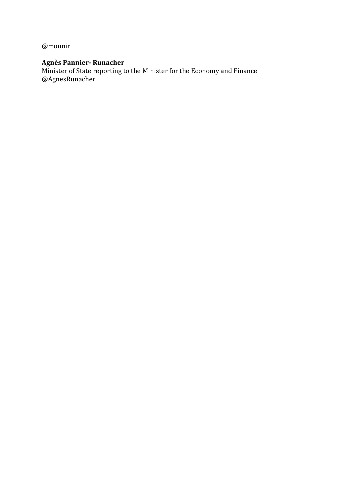@mounir

## **Agnès Pannier- Runacher**

Minister of State reporting to the Minister for the Economy and Finance @AgnesRunacher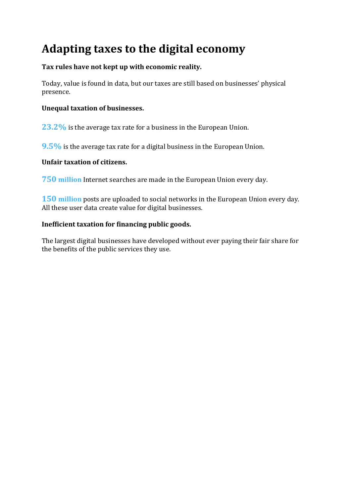# **Adapting taxes to the digital economy**

#### **Tax rules have not kept up with economic reality.**

Today, value is found in data, but our taxes are still based on businesses' physical presence.

#### **Unequal taxation of businesses.**

**23.2%** is the average tax rate for a business in the European Union.

**9.5%** is the average tax rate for a digital business in the European Union.

#### **Unfair taxation of citizens.**

**750 million** Internet searches are made in the European Union every day.

**150 million** posts are uploaded to social networks in the European Union every day. All these user data create value for digital businesses.

#### **Inefficient taxation for financing public goods.**

The largest digital businesses have developed without ever paying their fair share for the benefits of the public services they use.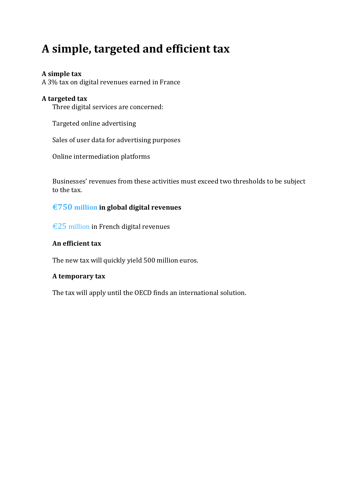# **A simple, targeted and efficient tax**

#### **A simple tax**

A 3% tax on digital revenues earned in France

#### **A targeted tax**

Three digital services are concerned:

Targeted online advertising

Sales of user data for advertising purposes

Online intermediation platforms

Businesses' revenues from these activities must exceed two thresholds to be subject to the tax.

#### **€750 million in global digital revenues**

€25 million in French digital revenues

#### **An efficient tax**

The new tax will quickly yield 500 million euros.

#### **A temporary tax**

The tax will apply until the OECD finds an international solution.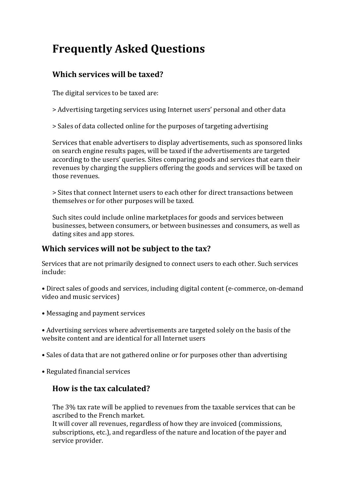# **Frequently Asked Questions**

# **Which services will be taxed?**

The digital services to be taxed are:

- > Advertising targeting services using Internet users' personal and other data
- > Sales of data collected online for the purposes of targeting advertising

Services that enable advertisers to display advertisements, such as sponsored links on search engine results pages, will be taxed if the advertisements are targeted according to the users' queries. Sites comparing goods and services that earn their revenues by charging the suppliers offering the goods and services will be taxed on those revenues.

> Sites that connect Internet users to each other for direct transactions between themselves or for other purposes will be taxed.

Such sites could include online marketplaces for goods and services between businesses, between consumers, or between businesses and consumers, as well as dating sites and app stores.

### **Which services will not be subject to the tax?**

Services that are not primarily designed to connect users to each other. Such services include:

• Direct sales of goods and services, including digital content (e-commerce, on-demand video and music services)

• Messaging and payment services

• Advertising services where advertisements are targeted solely on the basis of the website content and are identical for all Internet users

- Sales of data that are not gathered online or for purposes other than advertising
- Regulated financial services

#### **How is the tax calculated?**

The 3% tax rate will be applied to revenues from the taxable services that can be ascribed to the French market.

It will cover all revenues, regardless of how they are invoiced (commissions, subscriptions, etc.), and regardless of the nature and location of the payer and service provider.